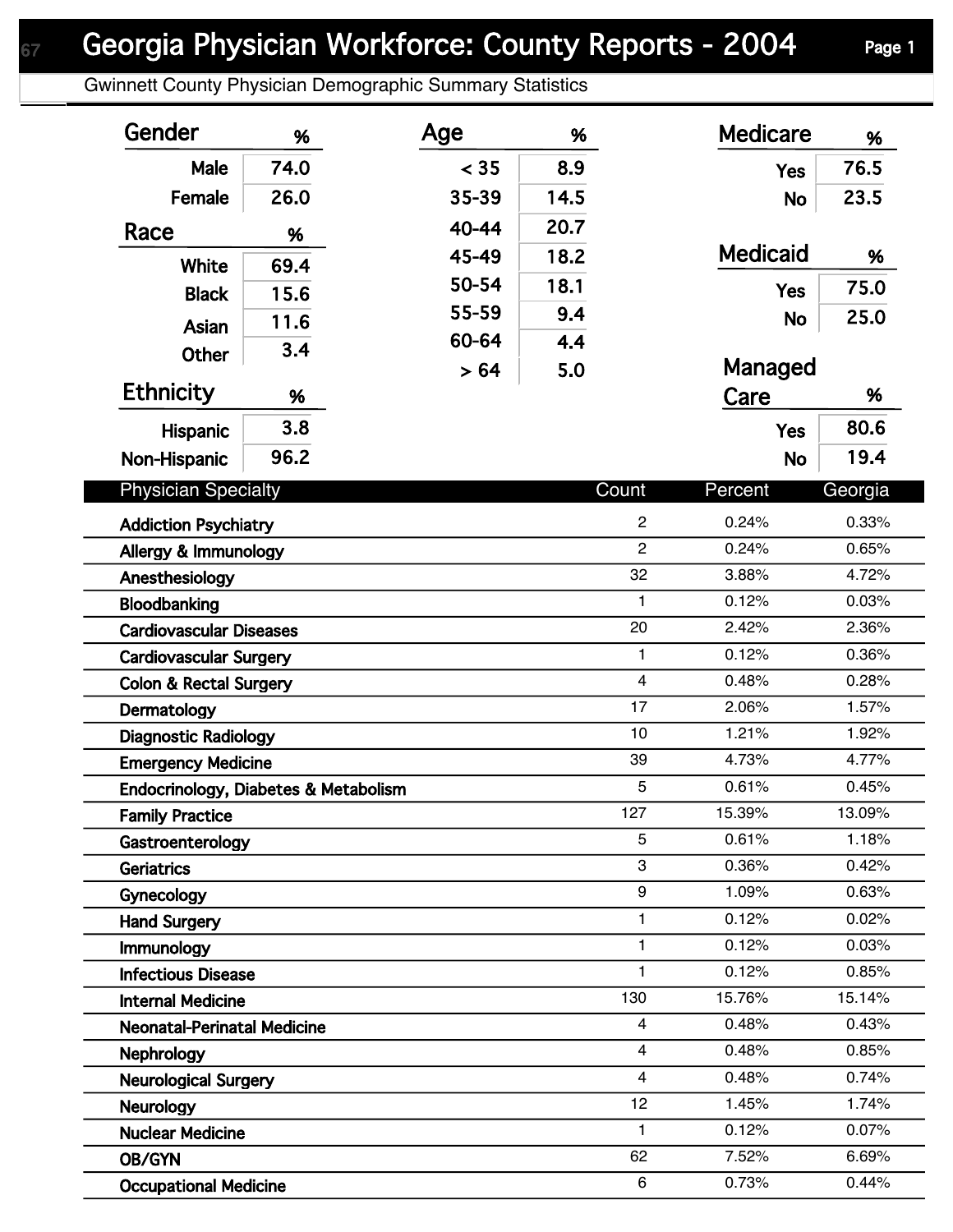## Georgia Physician Workforce: County Reports - 2004 Page 1

Gwinnett County Physician Demographic Summary Statistics

| Gender                               | %    | Age   | %    |                         | <b>Medicare</b> | %       |
|--------------------------------------|------|-------|------|-------------------------|-----------------|---------|
| Male                                 | 74.0 | < 35  | 8.9  |                         | <b>Yes</b>      | 76.5    |
| Female                               | 26.0 | 35-39 | 14.5 |                         | <b>No</b>       | 23.5    |
| Race                                 |      | 40-44 | 20.7 |                         |                 |         |
|                                      | %    | 45-49 | 18.2 |                         | <b>Medicaid</b> | %       |
| <b>White</b>                         | 69.4 | 50-54 | 18.1 |                         |                 | 75.0    |
| <b>Black</b>                         | 15.6 | 55-59 | 9.4  |                         | <b>Yes</b>      |         |
| Asian                                | 11.6 | 60-64 | 4.4  |                         | <b>No</b>       | 25.0    |
| <b>Other</b>                         | 3.4  |       |      |                         | Managed         |         |
| <b>Ethnicity</b>                     | %    | > 64  | 5.0  |                         | Care            | %       |
|                                      |      |       |      |                         |                 |         |
| Hispanic                             | 3.8  |       |      |                         | <b>Yes</b>      | 80.6    |
| Non-Hispanic                         | 96.2 |       |      |                         | <b>No</b>       | 19.4    |
| <b>Physician Specialty</b>           |      |       |      | Count                   | Percent         | Georgia |
| <b>Addiction Psychiatry</b>          |      |       |      | $\overline{c}$          | 0.24%           | 0.33%   |
| Allergy & Immunology                 |      |       |      | $\overline{2}$          | 0.24%           | 0.65%   |
| Anesthesiology                       |      |       |      | 32                      | 3.88%           | 4.72%   |
| Bloodbanking                         |      |       |      | $\mathbf{1}$            | 0.12%           | 0.03%   |
| <b>Cardiovascular Diseases</b>       |      |       |      | 20                      | 2.42%           | 2.36%   |
| <b>Cardiovascular Surgery</b>        |      |       |      | $\mathbf{1}$            | 0.12%           | 0.36%   |
| <b>Colon &amp; Rectal Surgery</b>    |      |       |      | $\overline{\mathbf{4}}$ | 0.48%           | 0.28%   |
| Dermatology                          |      |       |      | 17                      | 2.06%           | 1.57%   |
| <b>Diagnostic Radiology</b>          |      |       |      | 10                      | 1.21%           | 1.92%   |
| <b>Emergency Medicine</b>            |      |       |      | 39                      | 4.73%           | 4.77%   |
| Endocrinology, Diabetes & Metabolism |      |       |      | 5                       | 0.61%           | 0.45%   |
| <b>Family Practice</b>               |      |       |      | 127                     | 15.39%          | 13.09%  |
| Gastroenterology                     |      |       |      | 5                       | 0.61%           | 1.18%   |
| <b>Geriatrics</b>                    |      |       |      | 3                       | 0.36%           | 0.42%   |
| Gynecology                           |      |       |      | 9                       | 1.09%           | 0.63%   |
| <b>Hand Surgery</b>                  |      |       |      | $\mathbf{1}$            | 0.12%           | 0.02%   |
| Immunology                           |      |       |      | $\mathbf{1}$            | 0.12%           | 0.03%   |
| <b>Infectious Disease</b>            |      |       |      | $\mathbf{1}$            | 0.12%           | 0.85%   |
| <b>Internal Medicine</b>             |      |       |      | 130                     | 15.76%          | 15.14%  |
| <b>Neonatal-Perinatal Medicine</b>   |      |       |      | 4                       | 0.48%           | 0.43%   |
| <b>Nephrology</b>                    |      |       |      | $\overline{4}$          | 0.48%           | 0.85%   |
| <b>Neurological Surgery</b>          |      |       |      | $\overline{4}$          | 0.48%           | 0.74%   |
| <b>Neurology</b>                     |      |       |      | 12                      | 1.45%           | 1.74%   |
| <b>Nuclear Medicine</b>              |      |       |      | $\mathbf{1}$            | 0.12%           | 0.07%   |
| OB/GYN                               |      |       |      | 62                      | 7.52%           | 6.69%   |
| <b>Occupational Medicine</b>         |      |       |      | 6                       | 0.73%           | 0.44%   |